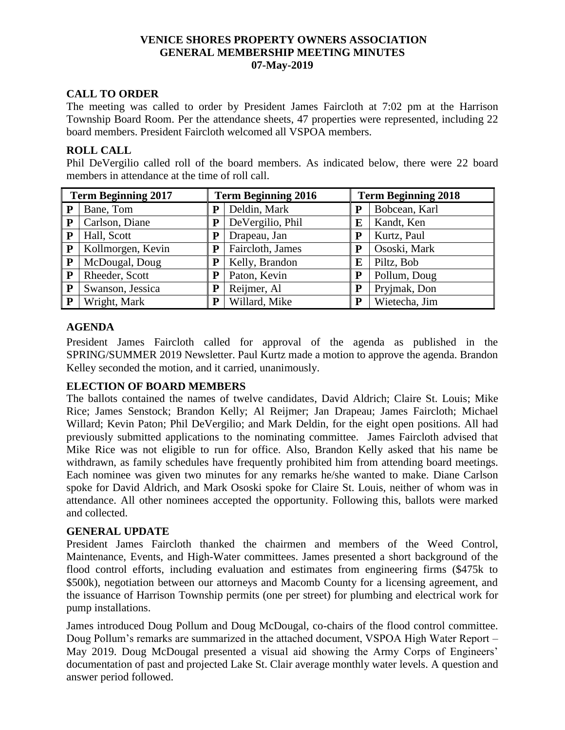## **VENICE SHORES PROPERTY OWNERS ASSOCIATION GENERAL MEMBERSHIP MEETING MINUTES 07-May-2019**

# **CALL TO ORDER**

The meeting was called to order by President James Faircloth at 7:02 pm at the Harrison Township Board Room. Per the attendance sheets, 47 properties were represented, including 22 board members. President Faircloth welcomed all VSPOA members.

### **ROLL CALL**

Phil DeVergilio called roll of the board members. As indicated below, there were 22 board members in attendance at the time of roll call.

| <b>Term Beginning 2017</b> |                   | <b>Term Beginning 2016</b> |                  | <b>Term Beginning 2018</b> |               |
|----------------------------|-------------------|----------------------------|------------------|----------------------------|---------------|
| P                          | Bane, Tom         | P                          | Deldin, Mark     | P                          | Bobcean, Karl |
| P                          | Carlson, Diane    | P                          | DeVergilio, Phil | E                          | Kandt, Ken    |
| P                          | Hall, Scott       | P                          | Drapeau, Jan     | P                          | Kurtz, Paul   |
| P                          | Kollmorgen, Kevin | P                          | Faircloth, James | P                          | Ososki, Mark  |
| P                          | McDougal, Doug    | P                          | Kelly, Brandon   | E                          | Piltz, Bob    |
| ${\bf P}$                  | Rheeder, Scott    | P                          | Paton, Kevin     | P                          | Pollum, Doug  |
| P                          | Swanson, Jessica  | P                          | Reijmer, Al      | P                          | Pryjmak, Don  |
| P                          | Wright, Mark      | P                          | Willard, Mike    | P                          | Wietecha, Jim |

# **AGENDA**

President James Faircloth called for approval of the agenda as published in the SPRING/SUMMER 2019 Newsletter. Paul Kurtz made a motion to approve the agenda. Brandon Kelley seconded the motion, and it carried, unanimously.

### **ELECTION OF BOARD MEMBERS**

The ballots contained the names of twelve candidates, David Aldrich; Claire St. Louis; Mike Rice; James Senstock; Brandon Kelly; Al Reijmer; Jan Drapeau; James Faircloth; Michael Willard; Kevin Paton; Phil DeVergilio; and Mark Deldin, for the eight open positions. All had previously submitted applications to the nominating committee. James Faircloth advised that Mike Rice was not eligible to run for office. Also, Brandon Kelly asked that his name be withdrawn, as family schedules have frequently prohibited him from attending board meetings. Each nominee was given two minutes for any remarks he/she wanted to make. Diane Carlson spoke for David Aldrich, and Mark Ososki spoke for Claire St. Louis, neither of whom was in attendance. All other nominees accepted the opportunity. Following this, ballots were marked and collected.

### **GENERAL UPDATE**

President James Faircloth thanked the chairmen and members of the Weed Control, Maintenance, Events, and High-Water committees. James presented a short background of the flood control efforts, including evaluation and estimates from engineering firms (\$475k to \$500k), negotiation between our attorneys and Macomb County for a licensing agreement, and the issuance of Harrison Township permits (one per street) for plumbing and electrical work for pump installations.

James introduced Doug Pollum and Doug McDougal, co-chairs of the flood control committee. Doug Pollum's remarks are summarized in the attached document, VSPOA High Water Report – May 2019. Doug McDougal presented a visual aid showing the Army Corps of Engineers' documentation of past and projected Lake St. Clair average monthly water levels. A question and answer period followed.